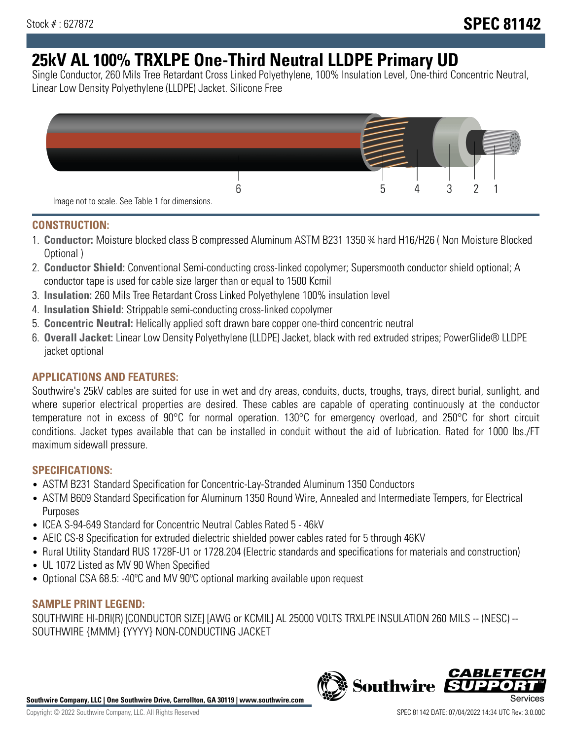# **25kV AL 100% TRXLPE One-Third Neutral LLDPE Primary UD**

Single Conductor, 260 Mils Tree Retardant Cross Linked Polyethylene, 100% Insulation Level, One-third Concentric Neutral, Linear Low Density Polyethylene (LLDPE) Jacket. Silicone Free



### **CONSTRUCTION:**

- 1. **Conductor:** Moisture blocked class B compressed Aluminum ASTM B231 1350 ¾ hard H16/H26 ( Non Moisture Blocked Optional )
- 2. **Conductor Shield:** Conventional Semi-conducting cross-linked copolymer; Supersmooth conductor shield optional; A conductor tape is used for cable size larger than or equal to 1500 Kcmil
- 3. **Insulation:** 260 Mils Tree Retardant Cross Linked Polyethylene 100% insulation level
- 4. **Insulation Shield:** Strippable semi-conducting cross-linked copolymer
- 5. **Concentric Neutral:** Helically applied soft drawn bare copper one-third concentric neutral
- 6. **Overall Jacket:** Linear Low Density Polyethylene (LLDPE) Jacket, black with red extruded stripes; PowerGlide® LLDPE jacket optional

# **APPLICATIONS AND FEATURES:**

Southwire's 25kV cables are suited for use in wet and dry areas, conduits, ducts, troughs, trays, direct burial, sunlight, and where superior electrical properties are desired. These cables are capable of operating continuously at the conductor temperature not in excess of 90°C for normal operation. 130°C for emergency overload, and 250°C for short circuit conditions. Jacket types available that can be installed in conduit without the aid of lubrication. Rated for 1000 lbs./FT maximum sidewall pressure.

# **SPECIFICATIONS:**

- ASTM B231 Standard Specification for Concentric-Lay-Stranded Aluminum 1350 Conductors
- ASTM B609 Standard Specification for Aluminum 1350 Round Wire, Annealed and Intermediate Tempers, for Electrical Purposes
- ICEA S-94-649 Standard for Concentric Neutral Cables Rated 5 46kV
- AEIC CS-8 Specification for extruded dielectric shielded power cables rated for 5 through 46KV
- Rural Utility Standard RUS 1728F-U1 or 1728.204 (Electric standards and specifications for materials and construction)
- UL 1072 Listed as MV 90 When Specified
- Optional CSA 68.5: -40ºC and MV 90ºC optional marking available upon request

### **SAMPLE PRINT LEGEND:**

SOUTHWIRE HI-DRI(R) [CONDUCTOR SIZE] [AWG or KCMIL] AL 25000 VOLTS TRXLPE INSULATION 260 MILS -- (NESC) -- SOUTHWIRE {MMM} {YYYY} NON-CONDUCTING JACKET

**Southwire Company, LLC | One Southwire Drive, Carrollton, GA 30119 | www.southwire.com**

*CABLE*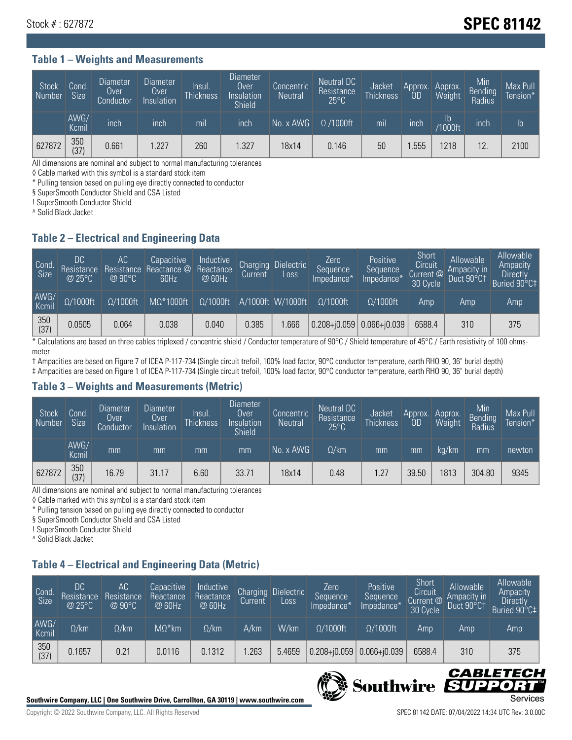# Stock # : 627872 **SPEC 81142**

#### **Table 1 – Weights and Measurements**

| Stock<br>  Number | Cond<br><b>Size</b> | <b>Diameter</b><br>Over<br>Conductor | Diameter<br>Over<br>Insulation | Insul.<br><b>Thickness</b> | Diameter<br>Over<br>Insulation<br><b>Shield</b> | Concentric<br><b>Neutral</b> | Neutral DC<br>Resistance<br>$25^{\circ}$ C | Jacket<br><b>Thickness</b> | Approx.<br>OD | Approx.<br>Weight     | Min<br><b>Bending</b><br>Radius | Max Pull<br>Tension* <sup>1</sup> |
|-------------------|---------------------|--------------------------------------|--------------------------------|----------------------------|-------------------------------------------------|------------------------------|--------------------------------------------|----------------------------|---------------|-----------------------|---------------------------------|-----------------------------------|
|                   | AWG/<br>Kcmil       | inch                                 | inch                           | mil                        | ınch                                            | No. x AWG                    | $\Omega$ /1000ft                           | mil                        | inch          | ID.<br><b>Y1000ft</b> | inch                            | $\mathsf{lb}$                     |
| 627872            | 350<br>(37)         | 0.661                                | 1.227                          | 260                        | .327                                            | 18x14                        | 0.146                                      | 50                         | .555          | 1218                  | 12                              | 2100                              |

All dimensions are nominal and subject to normal manufacturing tolerances

◊ Cable marked with this symbol is a standard stock item

\* Pulling tension based on pulling eye directly connected to conductor

§ SuperSmooth Conductor Shield and CSA Listed

! SuperSmooth Conductor Shield

^ Solid Black Jacket

### **Table 2 – Electrical and Engineering Data**

| Cond.<br>Size | 'DC.<br>Resistance<br>@25°C | 'AC<br>Resistance<br>$\oslash$ 90°C | Capacitive<br>Reactance @<br>60Hz | Inductive<br>Reactance<br>@ 60Hz | Charging<br>Current <sup>'</sup> | <b>Dielectric</b><br>LOSS. | Zero<br>Sequence<br>Impedance* | Positive<br>Sequence<br>Impedance <sup>+</sup> | Short<br>Circuit<br>Current @<br>30 Cycle | Allowable<br>Ampacity in<br>Duct 90°C† | Allowable<br>Ampacity<br><b>Directly</b><br>Buried 90°C‡ |
|---------------|-----------------------------|-------------------------------------|-----------------------------------|----------------------------------|----------------------------------|----------------------------|--------------------------------|------------------------------------------------|-------------------------------------------|----------------------------------------|----------------------------------------------------------|
| AWG/<br>Kcmil | $\Omega/1000$ ft            | $\Omega/1000$ ft                    | $M\Omega^*1000$ ft                | $\Omega/1000$ ft                 |                                  | A/1000ft W/1000ft          | $0/1000$ ft                    | $\Omega/1000$ ft                               | Amp                                       | Amp                                    | Amp                                                      |
| 350<br>(37)   | 0.0505                      | 0.064                               | 0.038                             | 0.040                            | 0.385                            | .666                       | $0.208 + 0.059$ 0.066+ $0.039$ |                                                | 6588.4                                    | 310                                    | 375                                                      |

\* Calculations are based on three cables triplexed / concentric shield / Conductor temperature of 90°C / Shield temperature of 45°C / Earth resistivity of 100 ohmsmeter

† Ampacities are based on Figure 7 of ICEA P-117-734 (Single circuit trefoil, 100% load factor, 90°C conductor temperature, earth RHO 90, 36" burial depth) ‡ Ampacities are based on Figure 1 of ICEA P-117-734 (Single circuit trefoil, 100% load factor, 90°C conductor temperature, earth RHO 90, 36" burial depth)

### **Table 3 – Weights and Measurements (Metric)**

| Stock<br>Number | Cond.<br>Size <sup>'</sup> | <b>Diameter</b><br>Over<br>Conductor | Diameter<br>Over<br>Insulation | Insul.<br><b>Thickness</b> | <b>Diameter</b><br>Over<br>Insulation<br><b>Shield</b> | Concentric<br><b>Neutral</b> | Neutral DC<br>Resistance<br>$25^{\circ}$ C | Jacket<br><b>Thickness</b> | Approx.<br>0D | Approx.<br>Weight | Min<br>Bending<br>Radius | Max Pull<br>Tension* |
|-----------------|----------------------------|--------------------------------------|--------------------------------|----------------------------|--------------------------------------------------------|------------------------------|--------------------------------------------|----------------------------|---------------|-------------------|--------------------------|----------------------|
|                 | AWG/<br>Kcmil              | mm                                   | mm                             | mm                         | mm                                                     | No. x AWG                    | $\Omega$ /km                               | mm                         | mm            | ka/km             | mm                       | newton               |
| 627872          | 350<br>(37)                | 16.79                                | 31.17                          | 6.60                       | 33.71                                                  | 18x14                        | 0.48                                       | 1.27                       | 39.50         | 1813              | 304.80                   | 9345                 |

All dimensions are nominal and subject to normal manufacturing tolerances

◊ Cable marked with this symbol is a standard stock item

\* Pulling tension based on pulling eye directly connected to conductor

§ SuperSmooth Conductor Shield and CSA Listed

! SuperSmooth Conductor Shield

^ Solid Black Jacket

# **Table 4 – Electrical and Engineering Data (Metric)**

| Cond.<br>Size | 'DC.<br>Resistance<br>@ 25°C | 'AC<br>Resistance<br>$@90^{\circ}C$ | Capacitive<br>Reactance<br>@ 60Hz | Inductive<br>Reactance<br>@ 60Hz | Charging<br>Current | <b>Dielectric</b><br>Loss | Zero<br>Sequence<br>Impedance* | Positive<br>Sequence<br>Impedance* | Short<br>Circuit<br>Current <sup>@</sup><br>30 Cycle | Allowable<br>Ampacity in<br>Duct 90°C1 | Allowable<br>Ampacity<br><b>Directly</b><br>Buried 90°C‡ |
|---------------|------------------------------|-------------------------------------|-----------------------------------|----------------------------------|---------------------|---------------------------|--------------------------------|------------------------------------|------------------------------------------------------|----------------------------------------|----------------------------------------------------------|
| AWG/<br>Kcmil | $\Omega$ /km                 | $\Omega$ /km                        | $M\Omega^*$ km                    | $\Omega$ /km                     | A/km                | W/km                      | $\Omega/1000$ ft               | $\Omega/1000$ ft                   | Amp                                                  | Amp                                    | Amp                                                      |
| 350<br>(37)   | 0.1657                       | 0.21                                | 0.0116                            | 0.1312                           | .263                | 5.4659                    | $0.208 + 0.059$                | $0.066 + 0.039$                    | 6588.4                                               | 310                                    | 375                                                      |



**Southwire SUPPO** 

CABLE